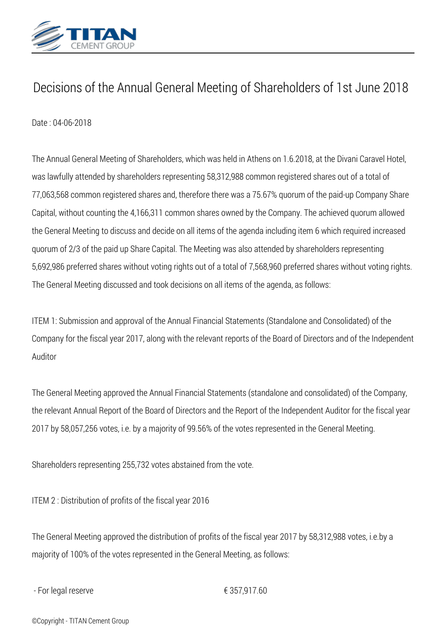

## *Decisions of the Annual General Meeting of Shareholders of 1st June 2018*

*Date : 04-06-2018*

*The Annual General Meeting of Shareholders, which was held in Athens on 1.6.2018, at the Divani Caravel Hotel, was lawfully attended by shareholders representing 58,312,988 common registered shares out of a total of 77,063,568 common registered shares and, therefore there was a 75.67% quorum of the paid-up Company Share Capital, without counting the 4,166,311 common shares owned by the Company. The achieved quorum allowed the General Meeting to discuss and decide on all items of the agenda including item 6 which required increased quorum of 2/3 of the paid up Share Capital. The Meeting was also attended by shareholders representing 5,692,986 preferred shares without voting rights out of a total of 7,568,960 preferred shares without voting rights. The General Meeting discussed and took decisions on all items of the agenda, as follows:*

*ITEM 1: Submission and approval of the Annual Financial Statements (Standalone and Consolidated) of the Company for the fiscal year 2017, along with the relevant reports of the Board of Directors and of the Independent Auditor*

*Τhe General Meeting approved the Annual Financial Statements (standalone and consolidated) of the Company, the relevant Annual Report of the Board of Directors and the Report of the Independent Auditor for the fiscal year 2017 by 58,057,256 votes, i.e. by a majority of 99.56% of the votes represented in the General Meeting.*

*Shareholders representing 255,732 votes abstained from the vote.*

*ITEM 2 : Distribution of profits of the fiscal year 2016*

*The General Meeting approved the distribution of profits of the fiscal year 2017 by 58,312,988 votes, i.e.by a majority of 100% of the votes represented in the General Meeting, as follows:*

*- For legal reserve € 357,917.60*

*©Copyright - TITAN Cement Group*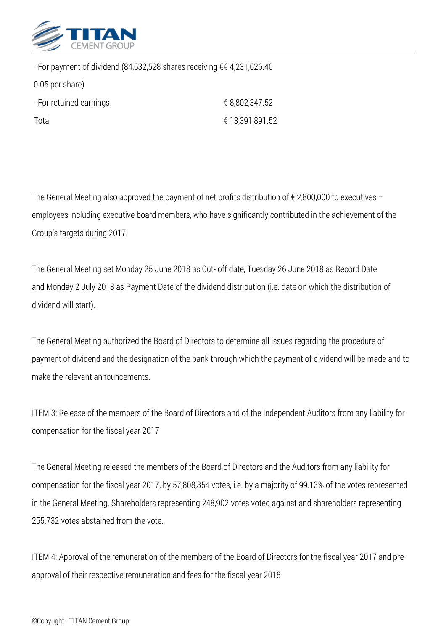

*0.05 per share)*

*- For payment of dividend (84,632,528 shares receiving € € 4,231,626.40*

| - For retained earnings | € 8,802,347.52  |
|-------------------------|-----------------|
| Total                   | € 13,391,891.52 |

*The General Meeting also approved the payment of net profits distribution of € 2,800,000 to executives – employees including executive board members, who have significantly contributed in the achievement of the Group's targets during 2017.*

*The General Meeting set Monday 25 June 2018 as Cut- off date, Tuesday 26 June 2018 as Record Date and Monday 2 July 2018 as Payment Date of the dividend distribution (i.e. date on which the distribution of dividend will start).*

*The General Meeting authorized the Board of Directors to determine all issues regarding the procedure of payment of dividend and the designation of the bank through which the payment of dividend will be made and to make the relevant announcements.*

*ITEM 3: Release of the members of the Board of Directors and of the Independent Auditors from any liability for compensation for the fiscal year 2017*

*The General Meeting released the members of the Board of Directors and the Auditors from any liability for compensation for the fiscal year 2017, by 57,808,354 votes, i.e. by a majority of 99.13% of the votes represented in the General Meeting. Shareholders representing 248,902 votes voted against and shareholders representing 255.732 votes abstained from the vote.*

*ITEM 4: Approval of the remuneration of the members of the Board of Directors for the fiscal year 2017 and preapproval of their respective remuneration and fees for the fiscal year 2018*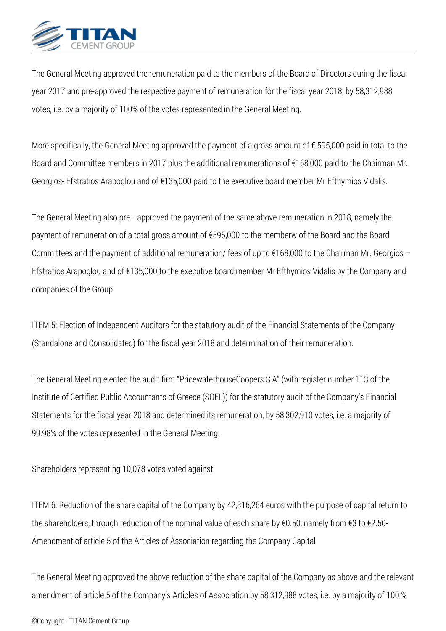

*The General Meeting approved the remuneration paid to the members of the Board of Directors during the fiscal year 2017 and pre-approved the respective payment of remuneration for the fiscal year 2018, by 58,312,988 votes, i.e. by a majority of 100% of the votes represented in the General Meeting.*

*More specifically, the General Meeting approved the payment of a gross amount of € 595,000 paid in total to the Board and Committee members in 2017 plus the additional remunerations of €168,000 paid to the Chairman Mr. Georgios- Efstratios Arapoglou and of €135,000 paid to the executive board member Mr Efthymios Vidalis.*

*The General Meeting also pre –approved the payment of the same above remuneration in 2018, namely the payment of remuneration of a total gross amount of €595,000 to the memberw of the Board and the Board Committees and the payment of additional remuneration/ fees of up to €168,000 to the Chairman Mr. Georgios – Efstratios Arapoglou and of €135,000 to the executive board member Mr Efthymios Vidalis by the Company and companies of the Group.*

*ITEM 5: Election of Independent Auditors for the statutory audit of the Financial Statements of the Company (Standalone and Consolidated) for the fiscal year 2018 and determination of their remuneration.*

*The General Meeting elected the audit firm "PricewaterhouseCoopers S.A" (with register number 113 of the Institute of Certified Public Accountants of Greece (SOEL)) for the statutory audit of the Company's Financial Statements for the fiscal year 2018 and determined its remuneration, by 58,302,910 votes, i.e. a majority of 99.98% of the votes represented in the General Meeting.*

*Shareholders representing 10,078 votes voted against*

*ITEM 6: Reduction of the share capital of the Company by 42,316,264 euros with the purpose of capital return to the shareholders, through reduction of the nominal value of each share by €0.50, namely from €3 to €2.50- Amendment of article 5 of the Articles of Association regarding the Company Capital*

*The General Meeting approved the above reduction of the share capital of the Company as above and the relevant amendment of article 5 of the Company's Articles of Association by 58,312,988 votes, i.e. by a majority of 100 %*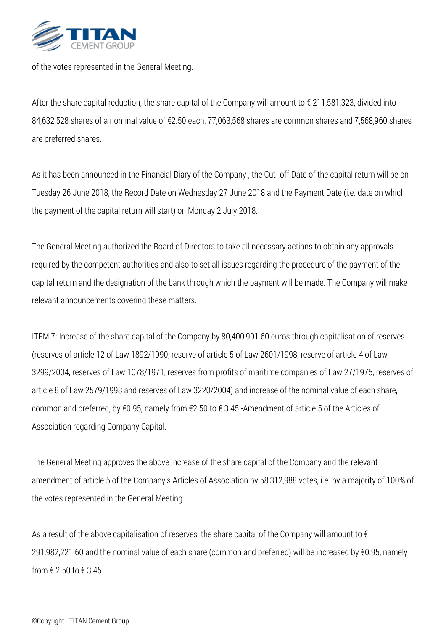

*of the votes represented in the General Meeting.*

*After the share capital reduction, the share capital of the Company will amount to € 211,581,323, divided into 84,632,528 shares of a nominal value of €2.50 each, 77,063,568 shares are common shares and 7,568,960 shares are preferred shares.*

*As it has been announced in the Financial Diary of the Company , the Cut- off Date of the capital return will be on Tuesday 26 June 2018, the Record Date on Wednesday 27 June 2018 and the Payment Date (i.e. date on which the payment of the capital return will start) on Monday 2 July 2018.*

*The General Meeting authorized the Board of Directors to take all necessary actions to obtain any approvals required by the competent authorities and also to set all issues regarding the procedure of the payment of the capital return and the designation of the bank through which the payment will be made. The Company will make relevant announcements covering these matters.*

*ITEM 7: Increase of the share capital of the Company by 80,400,901.60 euros through capitalisation of reserves (reserves of article 12 of Law 1892/1990, reserve of article 5 of Law 2601/1998, reserve of article 4 of Law 3299/2004, reserves of Law 1078/1971, reserves from profits of maritime companies of Law 27/1975, reserves of article 8 of Law 2579/1998 and reserves of Law 3220/2004) and increase of the nominal value of each share, common and preferred, by €0.95, namely from €2.50 to € 3.45 -Amendment of article 5 of the Articles of Association regarding Company Capital.*

*The General Meeting approves the above increase of the share capital of the Company and the relevant amendment of article 5 of the Company's Articles of Association by 58,312,988 votes, i.e. by a majority of 100% of the votes represented in the General Meeting.*

*As a result of the above capitalisation of reserves, the share capital of the Company will amount to € 291,982,221.60 and the nominal value of each share (common and preferred) will be increased by €0.95, namely from € 2.50 to € 3.45.*